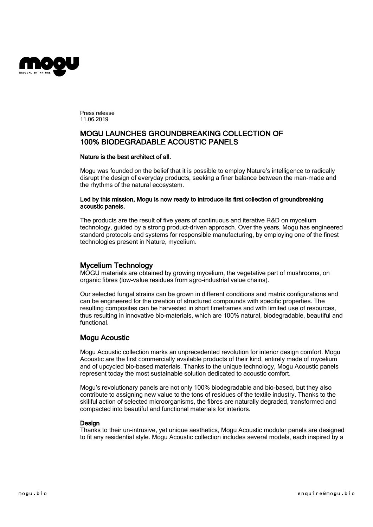

Press release 11.06.2019

# MOGU LAUNCHES GROUNDBREAKING COLLECTION OF 100% BIODEGRADABLE ACOUSTIC PANELS

### Nature is the best architect of all.

Mogu was founded on the belief that it is possible to employ Nature's intelligence to radically disrupt the design of everyday products, seeking a finer balance between the man-made and the rhythms of the natural ecosystem.

## Led by this mission, Mogu is now ready to introduce its first collection of groundbreaking acoustic panels.

The products are the result of five years of continuous and iterative R&D on mycelium technology, guided by a strong product-driven approach. Over the years, Mogu has engineered standard protocols and systems for responsible manufacturing, by employing one of the finest technologies present in Nature, mycelium.

**Mycelium Technology**<br>MOGU materials are obtained by growing mycelium, the vegetative part of mushrooms, on organic fibres (low-value residues from agro-industrial value chains).

Our selected fungal strains can be grown in different conditions and matrix configurations and can be engineered for the creation of structured compounds with specific properties. The resulting composites can be harvested in short timeframes and with limited use of resources, thus resulting in innovative bio-materials, which are 100% natural, biodegradable, beautiful and functional.

# Mogu Acoustic

Mogu Acoustic collection marks an unprecedented revolution for interior design comfort. Mogu Acoustic are the first commercially available products of their kind, entirely made of mycelium and of upcycled bio-based materials. Thanks to the unique technology, Mogu Acoustic panels represent today the most sustainable solution dedicated to acoustic comfort.

Mogu's revolutionary panels are not only 100% biodegradable and bio-based, but they also contribute to assigning new value to the tons of residues of the textile industry. Thanks to the skillful action of selected microorganisms, the fibres are naturally degraded, transformed and compacted into beautiful and functional materials for interiors.

# **Design**

Thanks to their un-intrusive, yet unique aesthetics, Mogu Acoustic modular panels are designed to fit any residential style. Mogu Acoustic collection includes several models, each inspired by a